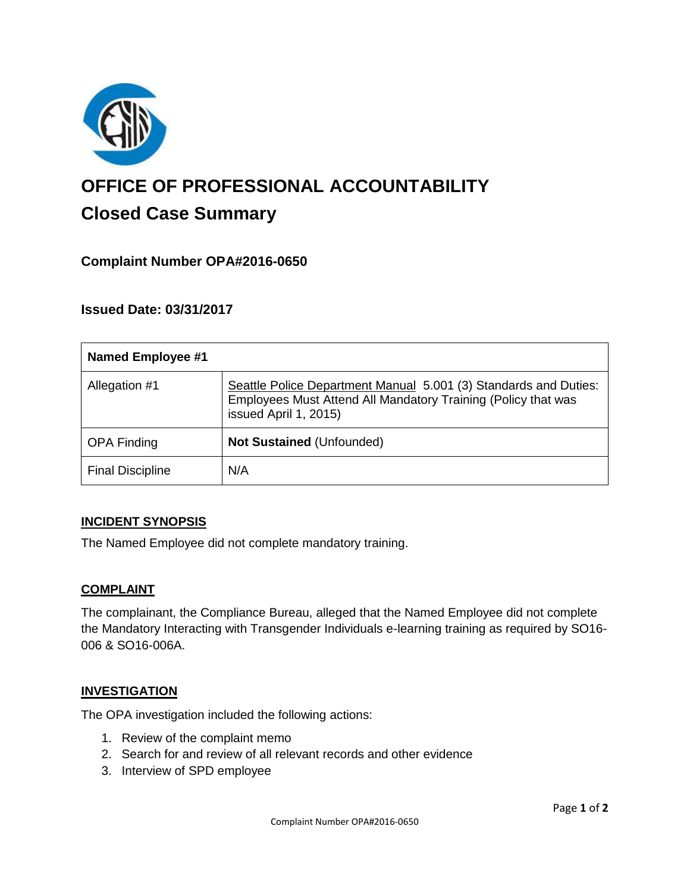

# **OFFICE OF PROFESSIONAL ACCOUNTABILITY Closed Case Summary**

# **Complaint Number OPA#2016-0650**

## **Issued Date: 03/31/2017**

| <b>Named Employee #1</b> |                                                                                                                                                            |
|--------------------------|------------------------------------------------------------------------------------------------------------------------------------------------------------|
| Allegation #1            | Seattle Police Department Manual 5.001 (3) Standards and Duties:<br>Employees Must Attend All Mandatory Training (Policy that was<br>issued April 1, 2015) |
| <b>OPA Finding</b>       | Not Sustained (Unfounded)                                                                                                                                  |
| <b>Final Discipline</b>  | N/A                                                                                                                                                        |

#### **INCIDENT SYNOPSIS**

The Named Employee did not complete mandatory training.

#### **COMPLAINT**

The complainant, the Compliance Bureau, alleged that the Named Employee did not complete the Mandatory Interacting with Transgender Individuals e-learning training as required by SO16- 006 & SO16-006A.

#### **INVESTIGATION**

The OPA investigation included the following actions:

- 1. Review of the complaint memo
- 2. Search for and review of all relevant records and other evidence
- 3. Interview of SPD employee